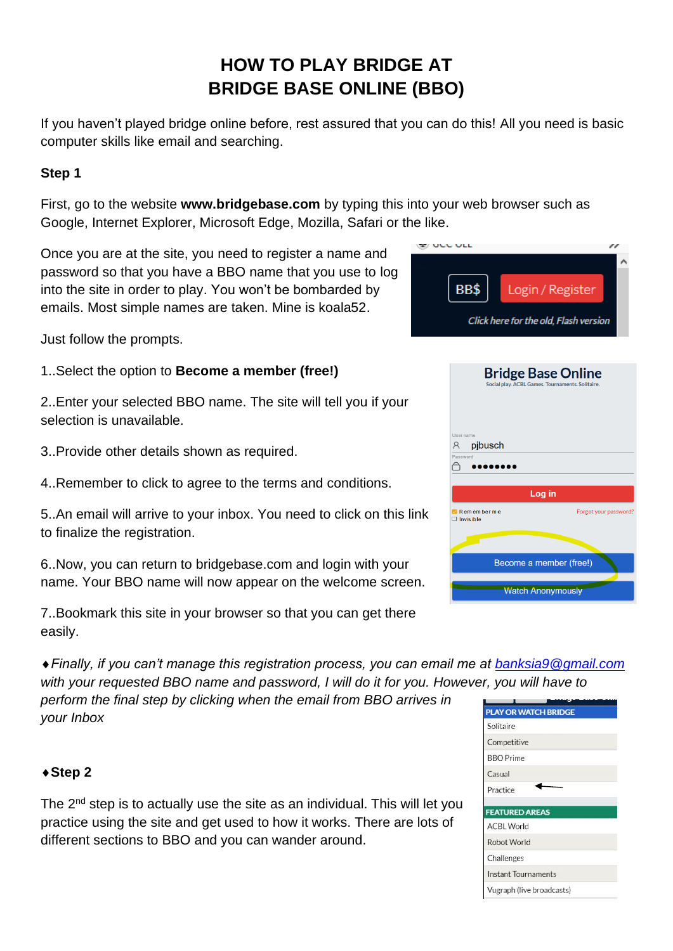# **HOW TO PLAY BRIDGE AT BRIDGE BASE ONLINE (BBO)**

If you haven't played bridge online before, rest assured that you can do this! All you need is basic computer skills like email and searching.

#### **Step 1**

First, go to the website **[www.bridgebase.com](http://www.bridgebase.com/)** by typing this into your web browser such as Google, Internet Explorer, Microsoft Edge, Mozilla, Safari or the like.

Once you are at the site, you need to register a name and password so that you have a BBO name that you use to log into the site in order to play. You won't be bombarded by emails. Most simple names are taken. Mine is koala52.

Just follow the prompts.

- 1..Select the option to **Become a member (free!)**
- 2..Enter your selected BBO name. The site will tell you if your selection is unavailable.
- 3..Provide other details shown as required.
- 4..Remember to click to agree to the terms and conditions.
- 5..An email will arrive to your inbox. You need to click on this link to finalize the registration.

6..Now, you can return to bridgebase.com and login with your name. Your BBO name will now appear on the welcome screen.

7..Bookmark this site in your browser so that you can get there easily.

*Finally, if you can't manage this registration process, you can email me at [banksia9@gmail.com](mailto:banksia9@gmail.com) with your requested BBO name and password, I will do it for you. However, you will have to* 

*perform the final step by clicking when the email from BBO arrives in your Inbox*

#### **Step 2**

The 2<sup>nd</sup> step is to actually use the site as an individual. This will let you practice using the site and get used to how it works. There are lots of different sections to BBO and you can wander around.

| ハレレ                                               |                                                                               |
|---------------------------------------------------|-------------------------------------------------------------------------------|
| BB\$                                              | Login / Register<br>Click here for the old, Flash version                     |
|                                                   | <b>Bridge Base Online</b><br>Social play. ACBL Games. Tournaments. Solitaire. |
| User name<br>pjbusch<br>$\mathcal{R}$<br>Password |                                                                               |
| $\blacksquare$ Rememberme<br>$\Box$ Invisible     | Log in<br>Forgot your password <sup>®</sup>                                   |
|                                                   | Become a member (free!)                                                       |
|                                                   | <b>Watch Anonymously</b>                                                      |
|                                                   |                                                                               |

| <b>PLAY OR WATCH BRIDGE</b> |
|-----------------------------|
| Solitaire                   |
| Competitive                 |
| <b>BBO</b> Prime            |
| Casual                      |
| Practice                    |
|                             |
| <b>FEATURED AREAS</b>       |
| <b>ACBL World</b>           |
| Robot World                 |
| Challenges                  |
| Instant Tournaments         |
| Vugraph (live broadcasts)   |
|                             |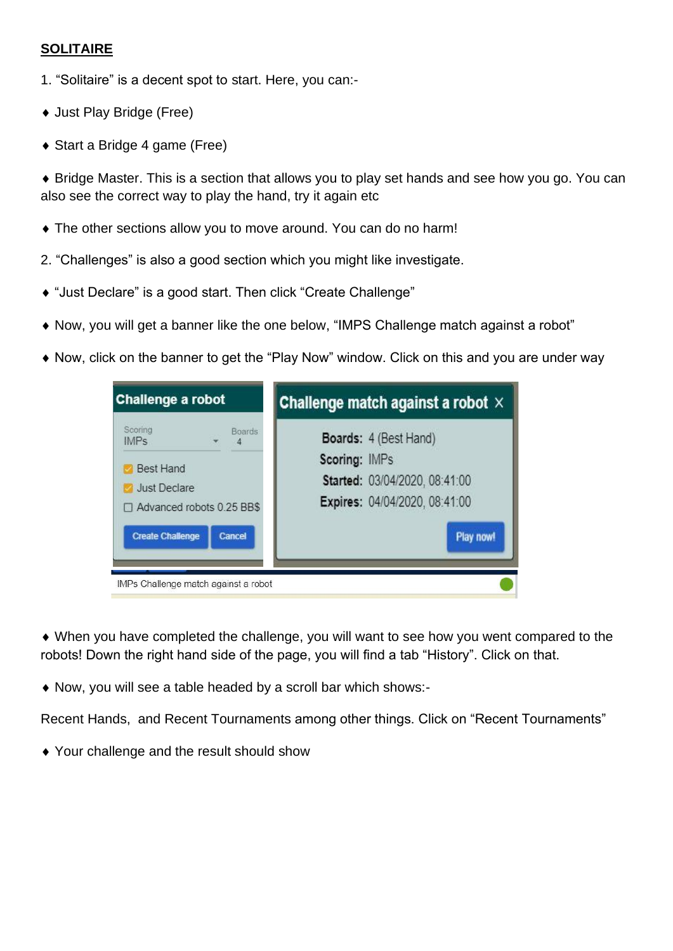### **SOLITAIRE**

- 1. "Solitaire" is a decent spot to start. Here, you can:-
- ◆ Just Play Bridge (Free)
- ◆ Start a Bridge 4 game (Free)

 Bridge Master. This is a section that allows you to play set hands and see how you go. You can also see the correct way to play the hand, try it again etc

- The other sections allow you to move around. You can do no harm!
- 2. "Challenges" is also a good section which you might like investigate.
- "Just Declare" is a good start. Then click "Create Challenge"
- Now, you will get a banner like the one below, "IMPS Challenge match against a robot"
- Now, click on the banner to get the "Play Now" window. Click on this and you are under way



 When you have completed the challenge, you will want to see how you went compared to the robots! Down the right hand side of the page, you will find a tab "History". Click on that.

Now, you will see a table headed by a scroll bar which shows:-

Recent Hands, and Recent Tournaments among other things. Click on "Recent Tournaments"

Your challenge and the result should show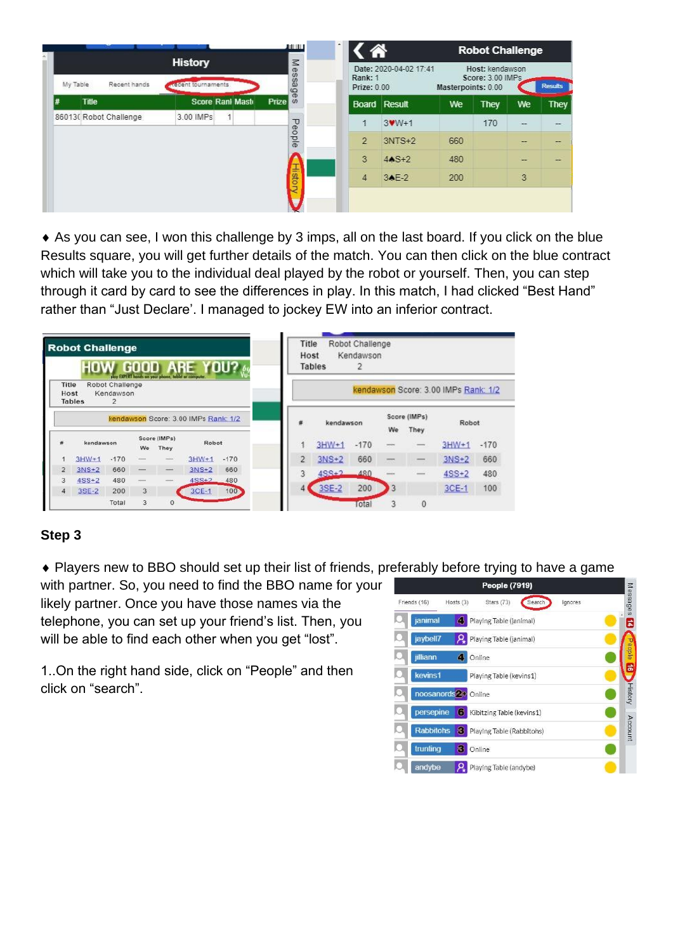|                          |                                     |                         |                                 | $\overline{\phantom{a}}$<br>лин |                        |                        |                    | <b>Robot Challenge</b>              |               |                |
|--------------------------|-------------------------------------|-------------------------|---------------------------------|---------------------------------|------------------------|------------------------|--------------------|-------------------------------------|---------------|----------------|
| Recent hands<br>My Table | <b>History</b><br>ecent tournaments |                         |                                 | Message                         | Rank: 1<br>Prize: 0.00 | Date: 2020-04-02 17:41 | Masterpoints: 0.00 | Host: kendawson<br>Score: 3.00 IMPs |               | <b>Results</b> |
| <b>Title</b>             |                                     | <b>Score Rani Maste</b> | Prize <sup>t</sup> <sub>0</sub> |                                 |                        | <b>Board Result</b>    | We                 | They                                | We            | <b>They</b>    |
| 86013(Robot Challenge)   | 3.00 IMPs                           |                         |                                 |                                 |                        | $3$ W $W+1$            |                    | 170                                 | $\frac{1}{2}$ | --             |
|                          |                                     |                         |                                 | People                          | $\overline{2}$         | $3NTS+2$               | 660                |                                     |               |                |
|                          |                                     |                         |                                 |                                 | 3                      | $44S+2$                | 480                |                                     |               |                |
|                          |                                     |                         |                                 | I<br>stor                       | $\overline{4}$         | 34E-2                  | 200                |                                     | 3             |                |
|                          |                                     |                         |                                 |                                 |                        |                        |                    |                                     |               |                |
|                          |                                     |                         |                                 |                                 |                        |                        |                    |                                     |               |                |

 As you can see, I won this challenge by 3 imps, all on the last board. If you click on the blue Results square, you will get further details of the match. You can then click on the blue contract which will take you to the individual deal played by the robot or yourself. Then, you can step through it card by card to see the differences in play. In this match, I had clicked "Best Hand" rather than "Just Declare'. I managed to jockey EW into an inferior contract.

|                | <b>Robot Challenge</b><br>HOV |                                   | play EXPERT hands an your phone. | GOOD ARE             |                                      | YDU?   | Title<br>Host  | <b>Tables</b> | Robot Challenge<br>Kendawson |    |                      |                                      |        |
|----------------|-------------------------------|-----------------------------------|----------------------------------|----------------------|--------------------------------------|--------|----------------|---------------|------------------------------|----|----------------------|--------------------------------------|--------|
| Title<br>Host  | <b>Tables</b>                 | Robot Challenge<br>Kendawson<br>2 |                                  |                      |                                      |        |                |               |                              |    |                      | kendawson Score: 3.00 IMPs Rank: 1/2 |        |
|                |                               |                                   |                                  |                      | kendawson Score: 3.00 IMPs Rank: 1/2 |        | 荐              | kendawson     |                              | We | Score (IMPs)<br>They | Robot                                |        |
| 歮              | kendawson                     |                                   | We                               | Score (IMPs)<br>They | Robot                                |        |                | $3HW+1$       | $-170$                       |    | $\frac{1}{2}$        | $3HW + 1$                            | $-170$ |
|                | $3HW+1$                       | $-170$                            |                                  |                      | $3HW+1$                              | $-170$ | $\overline{2}$ | $3NS+2$       | 660                          |    |                      | $3NS+2$                              | 660    |
| $\overline{2}$ | $3NS+2$                       | 660                               |                                  |                      | $3NS+2$                              | 660    |                | $4SS + 2$     | 480                          |    |                      | $4SS+2$                              | 480    |
| 3              | $4SS+2$                       | 480                               | -                                | $\frac{1}{2}$        | $4SS + 2$                            | 480    |                |               |                              |    |                      |                                      |        |
| 4              | $3SE-2$                       | 200                               | 3                                |                      | $3CE-1$                              | 100    |                | 3SE-2         | 200                          | 13 |                      | $3CE-1$                              | 100    |
|                |                               | Total                             | 3                                | $\mathbf{0}$         |                                      |        |                |               | <b>Total</b>                 |    | $\mathbf{0}$         |                                      |        |

## **Step 3**

Players new to BBO should set up their list of friends, preferably before trying to have a game

with partner. So, you need to find the BBO name for your likely partner. Once you have those names via the telephone, you can set up your friend's list. Then, you will be able to find each other when you get "lost".

1..On the right hand side, click on "People" and then click on "search".

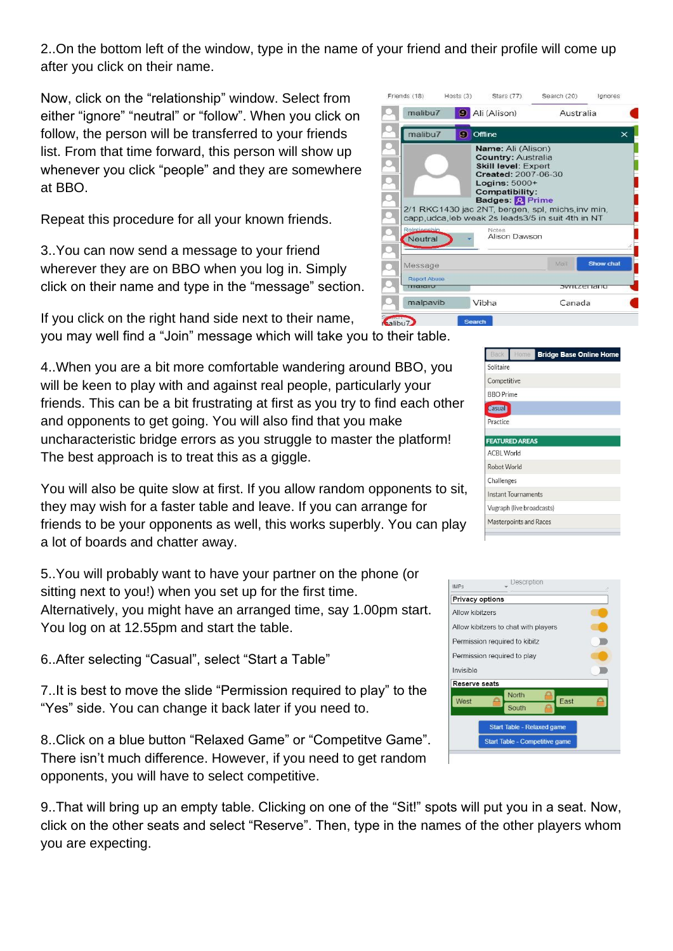2..On the bottom left of the window, type in the name of your friend and their profile will come up after you click on their name.

Now, click on the "relationship" window. Select from either "ignore" "neutral" or "follow". When you click on follow, the person will be transferred to your friends list. From that time forward, this person will show up whenever you click "people" and they are somewhere at BBO.

Repeat this procedure for all your known friends.

3..You can now send a message to your friend wherever they are on BBO when you log in. Simply click on their name and type in the "message" section.

If you click on the right hand side next to their name, **<u>valibu</u>** you may well find a "Join" message which will take you to their table.

4..When you are a bit more comfortable wandering around BBO, you will be keen to play with and against real people, particularly your friends. This can be a bit frustrating at first as you try to find each other and opponents to get going. You will also find that you make uncharacteristic bridge errors as you struggle to master the platform! The best approach is to treat this as a giggle.

You will also be quite slow at first. If you allow random opponents to sit, they may wish for a faster table and leave. If you can arrange for friends to be your opponents as well, this works superbly. You can play a lot of boards and chatter away.

5..You will probably want to have your partner on the phone (or sitting next to you!) when you set up for the first time. Alternatively, you might have an arranged time, say 1.00pm start. You log on at 12.55pm and start the table.

6..After selecting "Casual", select "Start a Table"

7..It is best to move the slide "Permission required to play" to the "Yes" side. You can change it back later if you need to.

8..Click on a blue button "Relaxed Game" or "Competitve Game". There isn't much difference. However, if you need to get random opponents, you will have to select competitive.

9..That will bring up an empty table. Clicking on one of the "Sit!" spots will put you in a seat. Now, click on the other seats and select "Reserve". Then, type in the names of the other players whom you are expecting.



| Back              | Home                          | <b>Bridge Base Online Home</b> |
|-------------------|-------------------------------|--------------------------------|
| Solitaire         |                               |                                |
| Competitive       |                               |                                |
| <b>BBO</b> Prime  |                               |                                |
| <b>Casual</b>     |                               |                                |
| Practice          |                               |                                |
|                   | <b>FEATURED AREAS</b>         |                                |
| <b>ACBL World</b> |                               |                                |
| Robot World       |                               |                                |
| Challenges        |                               |                                |
|                   | <b>Instant Tournaments</b>    |                                |
|                   | Vugraph (live broadcasts)     |                                |
|                   | <b>Masterpoints and Races</b> |                                |
|                   |                               |                                |

| <b>IMPs</b>                   |                                       |  |
|-------------------------------|---------------------------------------|--|
| <b>Privacy options</b>        |                                       |  |
| Allow kibitzers               |                                       |  |
|                               | Allow kibitzers to chat with players  |  |
| Permission required to kibitz |                                       |  |
| Permission required to play   |                                       |  |
| Invisible                     |                                       |  |
| Reserve seats                 |                                       |  |
| West                          | North<br>East<br>South                |  |
|                               | <b>Start Table - Relaxed game</b>     |  |
|                               | <b>Start Table - Competitive game</b> |  |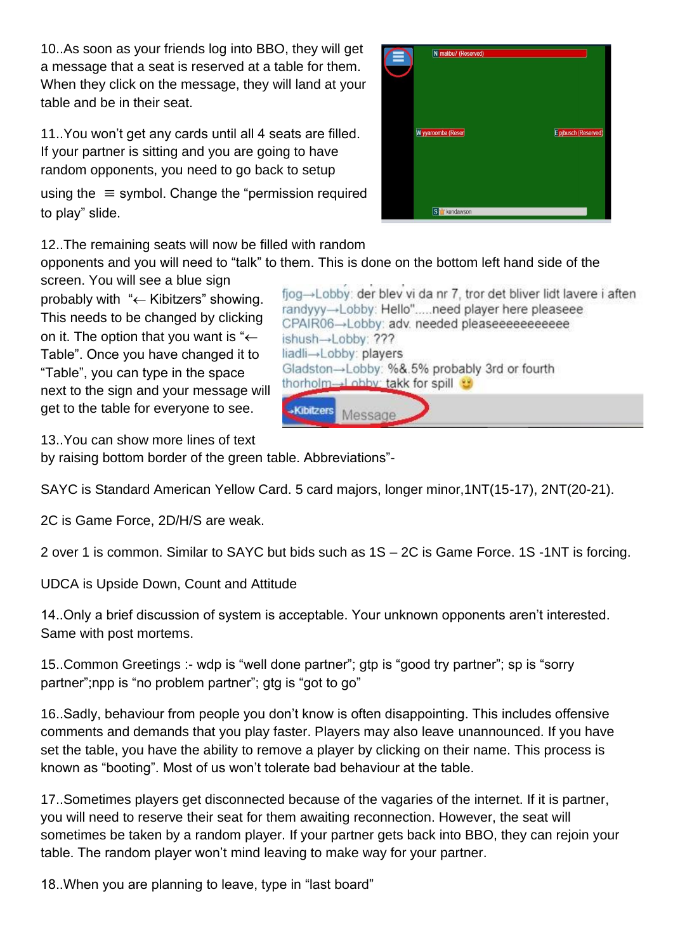10..As soon as your friends log into BBO, they will get a message that a seat is reserved at a table for them. When they click on the message, they will land at your table and be in their seat.

11..You won't get any cards until all 4 seats are filled. If your partner is sitting and you are going to have random opponents, you need to go back to setup

using the  $\equiv$  symbol. Change the "permission required" to play" slide.

12..The remaining seats will now be filled with random

opponents and you will need to "talk" to them. This is done on the bottom left hand side of the screen. You will see a blue sign

probably with " $\leftarrow$  Kibitzers" showing. This needs to be changed by clicking on it. The option that you want is " $\leftarrow$ Table". Once you have changed it to "Table", you can type in the space next to the sign and your message will get to the table for everyone to see.

fiog→Lobby: der blev vi da nr 7, tror det bliver lidt lavere i aften randyyy-Lobby: Hello".....need player here pleaseee CPAIR06-Lobby: adv. needed pleaseeeeeeeeeee ishush→Lobby: ??? liadli→Lobby: players Gladston→Lobby: %&.5% probably 3rd or fourth thorholm-I obby: takk for spill **Kibitzers** Message

13..You can show more lines of text

by raising bottom border of the green table. Abbreviations"-

SAYC is Standard American Yellow Card. 5 card majors, longer minor,1NT(15-17), 2NT(20-21).

2C is Game Force, 2D/H/S are weak.

2 over 1 is common. Similar to SAYC but bids such as 1S – 2C is Game Force. 1S -1NT is forcing.

UDCA is Upside Down, Count and Attitude

14..Only a brief discussion of system is acceptable. Your unknown opponents aren't interested. Same with post mortems.

15..Common Greetings :- wdp is "well done partner"; gtp is "good try partner"; sp is "sorry partner";npp is "no problem partner"; gtg is "got to go"

16..Sadly, behaviour from people you don't know is often disappointing. This includes offensive comments and demands that you play faster. Players may also leave unannounced. If you have set the table, you have the ability to remove a player by clicking on their name. This process is known as "booting". Most of us won't tolerate bad behaviour at the table.

17..Sometimes players get disconnected because of the vagaries of the internet. If it is partner, you will need to reserve their seat for them awaiting reconnection. However, the seat will sometimes be taken by a random player. If your partner gets back into BBO, they can rejoin your table. The random player won't mind leaving to make way for your partner.

18..When you are planning to leave, type in "last board"